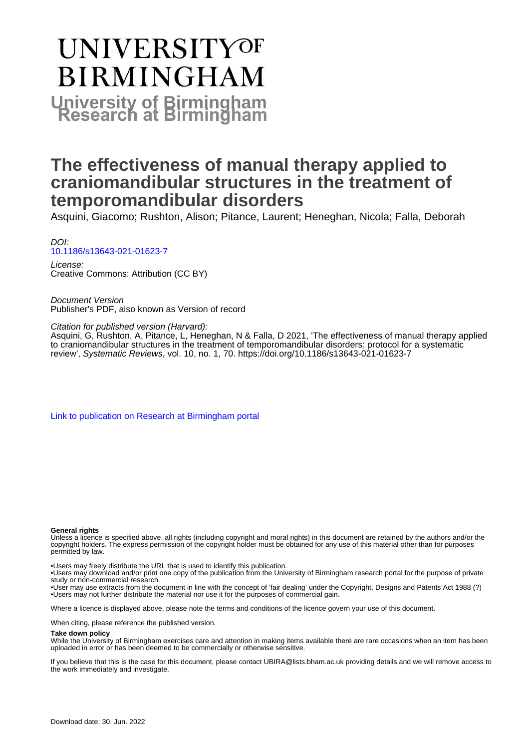# **UNIVERSITYOF BIRMINGHAM University of Birmingham**

### **The effectiveness of manual therapy applied to craniomandibular structures in the treatment of temporomandibular disorders**

Asquini, Giacomo; Rushton, Alison; Pitance, Laurent; Heneghan, Nicola; Falla, Deborah

DOI: [10.1186/s13643-021-01623-7](https://doi.org/10.1186/s13643-021-01623-7)

License: Creative Commons: Attribution (CC BY)

Document Version Publisher's PDF, also known as Version of record

Citation for published version (Harvard):

Asquini, G, Rushton, A, Pitance, L, Heneghan, N & Falla, D 2021, 'The effectiveness of manual therapy applied to craniomandibular structures in the treatment of temporomandibular disorders: protocol for a systematic review', Systematic Reviews, vol. 10, no. 1, 70. <https://doi.org/10.1186/s13643-021-01623-7>

[Link to publication on Research at Birmingham portal](https://birmingham.elsevierpure.com/en/publications/a92aa90a-11a2-4771-a1a9-fd98637c45ef)

#### **General rights**

Unless a licence is specified above, all rights (including copyright and moral rights) in this document are retained by the authors and/or the copyright holders. The express permission of the copyright holder must be obtained for any use of this material other than for purposes permitted by law.

• Users may freely distribute the URL that is used to identify this publication.

• Users may download and/or print one copy of the publication from the University of Birmingham research portal for the purpose of private study or non-commercial research.

• User may use extracts from the document in line with the concept of 'fair dealing' under the Copyright, Designs and Patents Act 1988 (?) • Users may not further distribute the material nor use it for the purposes of commercial gain.

Where a licence is displayed above, please note the terms and conditions of the licence govern your use of this document.

When citing, please reference the published version.

#### **Take down policy**

While the University of Birmingham exercises care and attention in making items available there are rare occasions when an item has been uploaded in error or has been deemed to be commercially or otherwise sensitive.

If you believe that this is the case for this document, please contact UBIRA@lists.bham.ac.uk providing details and we will remove access to the work immediately and investigate.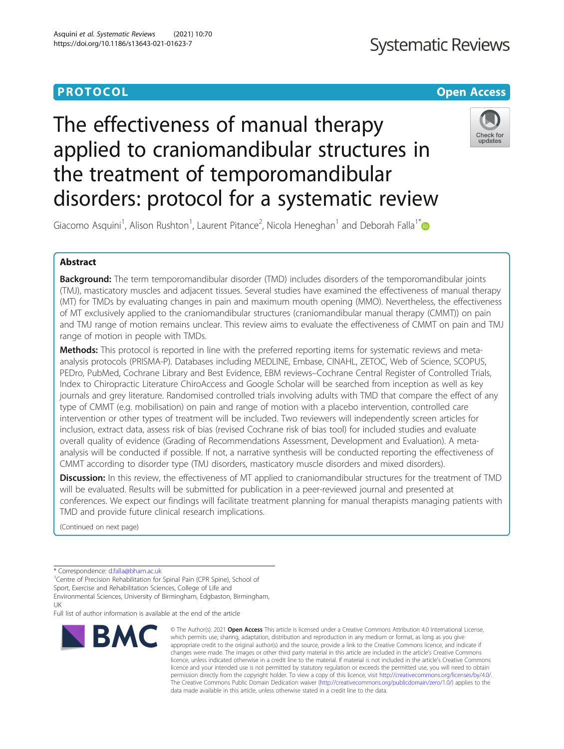### **PROTOCOL CONSUMING THE CONSUMING TEACHER CONSUMING THE CONSUMING TEACHER CONSUMING THE CONSUMING TEACHER CONSUMING**

## **Systematic Reviews**

### Check for updates

Giacomo Asquini<sup>1</sup>, Alison Rushton<sup>1</sup>, Laurent Pitance<sup>2</sup>, Nicola Heneghan<sup>1</sup> and Deborah Falla<sup>1[\\*](http://orcid.org/0000-0003-1689-6190)</sup>

disorders: protocol for a systematic review

applied to craniomandibular structures in

The effectiveness of manual therapy

the treatment of temporomandibular

#### Abstract

**Background:** The term temporomandibular disorder (TMD) includes disorders of the temporomandibular joints (TMJ), masticatory muscles and adjacent tissues. Several studies have examined the effectiveness of manual therapy (MT) for TMDs by evaluating changes in pain and maximum mouth opening (MMO). Nevertheless, the effectiveness of MT exclusively applied to the craniomandibular structures (craniomandibular manual therapy (CMMT)) on pain and TMJ range of motion remains unclear. This review aims to evaluate the effectiveness of CMMT on pain and TMJ range of motion in people with TMDs.

Methods: This protocol is reported in line with the preferred reporting items for systematic reviews and metaanalysis protocols (PRISMA-P). Databases including MEDLINE, Embase, CINAHL, ZETOC, Web of Science, SCOPUS, PEDro, PubMed, Cochrane Library and Best Evidence, EBM reviews–Cochrane Central Register of Controlled Trials, Index to Chiropractic Literature ChiroAccess and Google Scholar will be searched from inception as well as key journals and grey literature. Randomised controlled trials involving adults with TMD that compare the effect of any type of CMMT (e.g. mobilisation) on pain and range of motion with a placebo intervention, controlled care intervention or other types of treatment will be included. Two reviewers will independently screen articles for inclusion, extract data, assess risk of bias (revised Cochrane risk of bias tool) for included studies and evaluate overall quality of evidence (Grading of Recommendations Assessment, Development and Evaluation). A metaanalysis will be conducted if possible. If not, a narrative synthesis will be conducted reporting the effectiveness of CMMT according to disorder type (TMJ disorders, masticatory muscle disorders and mixed disorders).

**Discussion:** In this review, the effectiveness of MT applied to craniomandibular structures for the treatment of TMD will be evaluated. Results will be submitted for publication in a peer-reviewed journal and presented at conferences. We expect our findings will facilitate treatment planning for manual therapists managing patients with TMD and provide future clinical research implications.

(Continued on next page)

<sup>1</sup>Centre of Precision Rehabilitation for Spinal Pain (CPR Spine), School of Sport, Exercise and Rehabilitation Sciences, College of Life and Environmental Sciences, University of Birmingham, Edgbaston, Birmingham,

UK Full list of author information is available at the end of the article



<sup>©</sup> The Author(s), 2021 **Open Access** This article is licensed under a Creative Commons Attribution 4.0 International License, which permits use, sharing, adaptation, distribution and reproduction in any medium or format, as long as you give appropriate credit to the original author(s) and the source, provide a link to the Creative Commons licence, and indicate if changes were made. The images or other third party material in this article are included in the article's Creative Commons licence, unless indicated otherwise in a credit line to the material. If material is not included in the article's Creative Commons licence and your intended use is not permitted by statutory regulation or exceeds the permitted use, you will need to obtain permission directly from the copyright holder. To view a copy of this licence, visit [http://creativecommons.org/licenses/by/4.0/.](http://creativecommons.org/licenses/by/4.0/) The Creative Commons Public Domain Dedication waiver [\(http://creativecommons.org/publicdomain/zero/1.0/](http://creativecommons.org/publicdomain/zero/1.0/)) applies to the data made available in this article, unless otherwise stated in a credit line to the data.

<sup>\*</sup> Correspondence: [d.falla@bham.ac.uk](mailto:d.falla@bham.ac.uk) <sup>1</sup>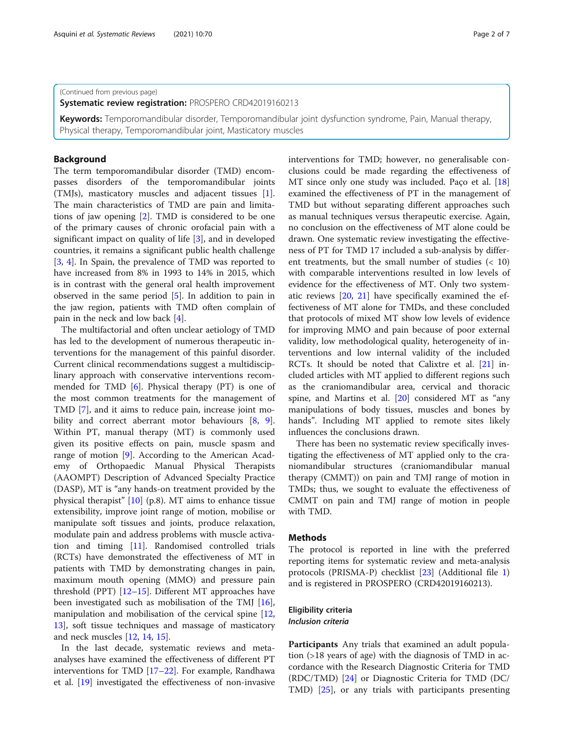#### (Continued from previous page)

Systematic review registration: PROSPERO CRD42019160213

Keywords: Temporomandibular disorder, Temporomandibular joint dysfunction syndrome, Pain, Manual therapy, Physical therapy, Temporomandibular joint, Masticatory muscles

#### Background

The term temporomandibular disorder (TMD) encompasses disorders of the temporomandibular joints (TMJs), masticatory muscles and adjacent tissues [\[1](#page-6-0)]. The main characteristics of TMD are pain and limitations of jaw opening [\[2](#page-6-0)]. TMD is considered to be one of the primary causes of chronic orofacial pain with a significant impact on quality of life [[3\]](#page-6-0), and in developed countries, it remains a significant public health challenge [[3,](#page-6-0) [4](#page-6-0)]. In Spain, the prevalence of TMD was reported to have increased from 8% in 1993 to 14% in 2015, which is in contrast with the general oral health improvement observed in the same period [\[5\]](#page-6-0). In addition to pain in the jaw region, patients with TMD often complain of pain in the neck and low back [\[4](#page-6-0)].

The multifactorial and often unclear aetiology of TMD has led to the development of numerous therapeutic interventions for the management of this painful disorder. Current clinical recommendations suggest a multidisciplinary approach with conservative interventions recommended for TMD [\[6](#page-6-0)]. Physical therapy (PT) is one of the most common treatments for the management of TMD [\[7\]](#page-6-0), and it aims to reduce pain, increase joint mo-bility and correct aberrant motor behaviours [[8,](#page-6-0) [9](#page-6-0)]. Within PT, manual therapy (MT) is commonly used given its positive effects on pain, muscle spasm and range of motion [\[9\]](#page-6-0). According to the American Academy of Orthopaedic Manual Physical Therapists (AAOMPT) Description of Advanced Specialty Practice (DASP), MT is "any hands-on treatment provided by the physical therapist" [\[10\]](#page-6-0) (p.8). MT aims to enhance tissue extensibility, improve joint range of motion, mobilise or manipulate soft tissues and joints, produce relaxation, modulate pain and address problems with muscle activation and timing [[11](#page-6-0)]. Randomised controlled trials (RCTs) have demonstrated the effectiveness of MT in patients with TMD by demonstrating changes in pain, maximum mouth opening (MMO) and pressure pain threshold (PPT)  $[12–15]$  $[12–15]$  $[12–15]$ . Different MT approaches have been investigated such as mobilisation of the TMJ [\[16](#page-6-0)], manipulation and mobilisation of the cervical spine [[12](#page-6-0), [13\]](#page-6-0), soft tissue techniques and massage of masticatory and neck muscles [\[12](#page-6-0), [14,](#page-6-0) [15\]](#page-6-0).

In the last decade, systematic reviews and metaanalyses have examined the effectiveness of different PT interventions for TMD [[17](#page-6-0)–[22](#page-6-0)]. For example, Randhawa et al. [[19\]](#page-6-0) investigated the effectiveness of non-invasive

interventions for TMD; however, no generalisable conclusions could be made regarding the effectiveness of MT since only one study was included. Paço et al. [[18](#page-6-0)] examined the effectiveness of PT in the management of TMD but without separating different approaches such as manual techniques versus therapeutic exercise. Again, no conclusion on the effectiveness of MT alone could be drawn. One systematic review investigating the effectiveness of PT for TMD 17 included a sub-analysis by different treatments, but the small number of studies (< 10) with comparable interventions resulted in low levels of evidence for the effectiveness of MT. Only two systematic reviews [\[20](#page-6-0), [21\]](#page-6-0) have specifically examined the effectiveness of MT alone for TMDs, and these concluded that protocols of mixed MT show low levels of evidence for improving MMO and pain because of poor external validity, low methodological quality, heterogeneity of interventions and low internal validity of the included RCTs. It should be noted that Calixtre et al. [\[21\]](#page-6-0) included articles with MT applied to different regions such as the craniomandibular area, cervical and thoracic spine, and Martins et al. [[20\]](#page-6-0) considered MT as "any manipulations of body tissues, muscles and bones by hands". Including MT applied to remote sites likely influences the conclusions drawn.

There has been no systematic review specifically investigating the effectiveness of MT applied only to the craniomandibular structures (craniomandibular manual therapy (CMMT)) on pain and TMJ range of motion in TMDs; thus, we sought to evaluate the effectiveness of CMMT on pain and TMJ range of motion in people with TMD.

#### **Methods**

The protocol is reported in line with the preferred reporting items for systematic review and meta-analysis protocols (PRISMA-P) checklist [[23\]](#page-6-0) (Additional file [1](#page-5-0)) and is registered in PROSPERO (CRD42019160213).

#### Eligibility criteria Inclusion criteria

Participants Any trials that examined an adult population (>18 years of age) with the diagnosis of TMD in accordance with the Research Diagnostic Criteria for TMD (RDC/TMD) [\[24](#page-6-0)] or Diagnostic Criteria for TMD (DC/ TMD) [\[25](#page-6-0)], or any trials with participants presenting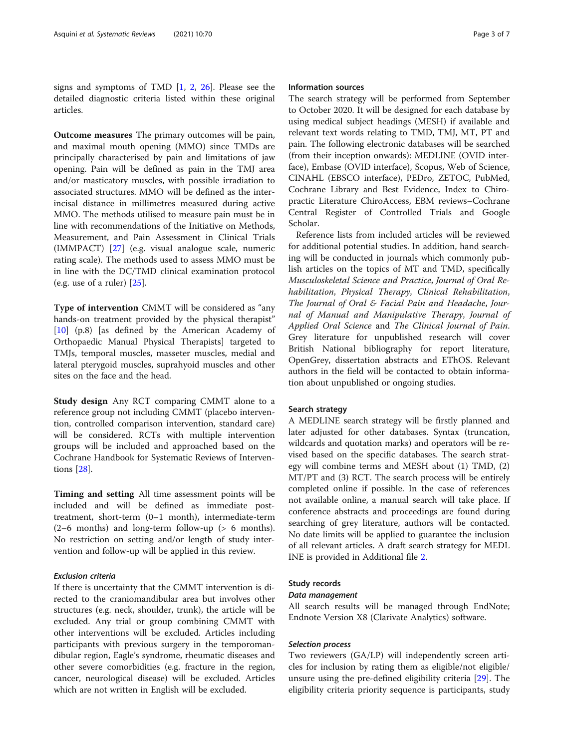signs and symptoms of TMD [\[1](#page-6-0), [2,](#page-6-0) [26\]](#page-6-0). Please see the detailed diagnostic criteria listed within these original articles.

Outcome measures The primary outcomes will be pain, and maximal mouth opening (MMO) since TMDs are principally characterised by pain and limitations of jaw opening. Pain will be defined as pain in the TMJ area and/or masticatory muscles, with possible irradiation to associated structures. MMO will be defined as the interincisal distance in millimetres measured during active MMO. The methods utilised to measure pain must be in line with recommendations of the Initiative on Methods, Measurement, and Pain Assessment in Clinical Trials (IMMPACT) [[27\]](#page-6-0) (e.g. visual analogue scale, numeric rating scale). The methods used to assess MMO must be in line with the DC/TMD clinical examination protocol (e.g. use of a ruler) [[25\]](#page-6-0).

Type of intervention CMMT will be considered as "any hands-on treatment provided by the physical therapist" [[10\]](#page-6-0) (p.8) [as defined by the American Academy of Orthopaedic Manual Physical Therapists] targeted to TMJs, temporal muscles, masseter muscles, medial and lateral pterygoid muscles, suprahyoid muscles and other sites on the face and the head.

Study design Any RCT comparing CMMT alone to a reference group not including CMMT (placebo intervention, controlled comparison intervention, standard care) will be considered. RCTs with multiple intervention groups will be included and approached based on the Cochrane Handbook for Systematic Reviews of Interventions [[28\]](#page-6-0).

Timing and setting All time assessment points will be included and will be defined as immediate posttreatment, short-term (0–1 month), intermediate-term (2–6 months) and long-term follow-up (> 6 months). No restriction on setting and/or length of study intervention and follow-up will be applied in this review.

#### Exclusion criteria

If there is uncertainty that the CMMT intervention is directed to the craniomandibular area but involves other structures (e.g. neck, shoulder, trunk), the article will be excluded. Any trial or group combining CMMT with other interventions will be excluded. Articles including participants with previous surgery in the temporomandibular region, Eagle's syndrome, rheumatic diseases and other severe comorbidities (e.g. fracture in the region, cancer, neurological disease) will be excluded. Articles which are not written in English will be excluded.

#### Information sources

The search strategy will be performed from September to October 2020. It will be designed for each database by using medical subject headings (MESH) if available and relevant text words relating to TMD, TMJ, MT, PT and pain. The following electronic databases will be searched (from their inception onwards): MEDLINE (OVID interface), Embase (OVID interface), Scopus, Web of Science, CINAHL (EBSCO interface), PEDro, ZETOC, PubMed, Cochrane Library and Best Evidence, Index to Chiropractic Literature ChiroAccess, EBM reviews–Cochrane Central Register of Controlled Trials and Google Scholar.

Reference lists from included articles will be reviewed for additional potential studies. In addition, hand searching will be conducted in journals which commonly publish articles on the topics of MT and TMD, specifically Musculoskeletal Science and Practice, Journal of Oral Rehabilitation, Physical Therapy, Clinical Rehabilitation, The Journal of Oral & Facial Pain and Headache, Journal of Manual and Manipulative Therapy, Journal of Applied Oral Science and The Clinical Journal of Pain. Grey literature for unpublished research will cover British National bibliography for report literature, OpenGrey, dissertation abstracts and EThOS. Relevant authors in the field will be contacted to obtain information about unpublished or ongoing studies.

#### Search strategy

A MEDLINE search strategy will be firstly planned and later adjusted for other databases. Syntax (truncation, wildcards and quotation marks) and operators will be revised based on the specific databases. The search strategy will combine terms and MESH about (1) TMD, (2) MT/PT and (3) RCT. The search process will be entirely completed online if possible. In the case of references not available online, a manual search will take place. If conference abstracts and proceedings are found during searching of grey literature, authors will be contacted. No date limits will be applied to guarantee the inclusion of all relevant articles. A draft search strategy for MEDL INE is provided in Additional file [2](#page-5-0).

#### Study records

#### Data management

All search results will be managed through EndNote; Endnote Version X8 (Clarivate Analytics) software.

#### Selection process

Two reviewers (GA/LP) will independently screen articles for inclusion by rating them as eligible/not eligible/ unsure using the pre-defined eligibility criteria [[29\]](#page-6-0). The eligibility criteria priority sequence is participants, study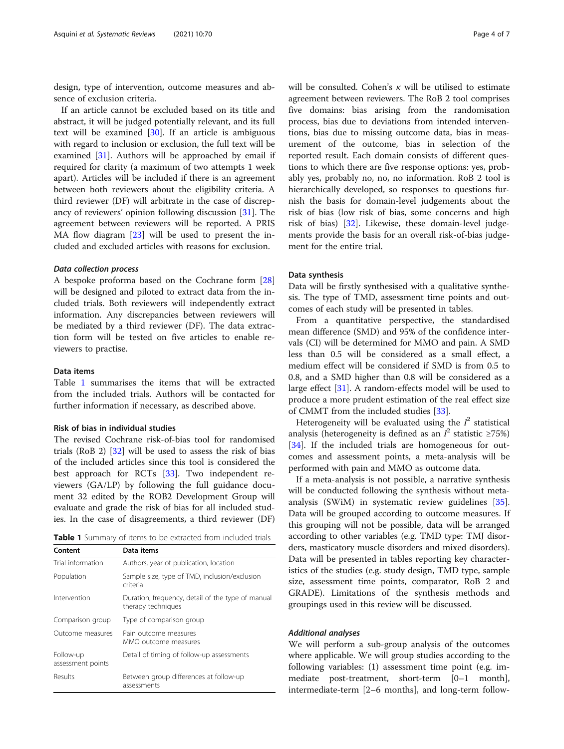design, type of intervention, outcome measures and absence of exclusion criteria.

If an article cannot be excluded based on its title and abstract, it will be judged potentially relevant, and its full text will be examined [[30](#page-6-0)]. If an article is ambiguous with regard to inclusion or exclusion, the full text will be examined [[31](#page-6-0)]. Authors will be approached by email if required for clarity (a maximum of two attempts 1 week apart). Articles will be included if there is an agreement between both reviewers about the eligibility criteria. A third reviewer (DF) will arbitrate in the case of discrepancy of reviewers' opinion following discussion [\[31\]](#page-6-0). The agreement between reviewers will be reported. A PRIS MA flow diagram [\[23\]](#page-6-0) will be used to present the included and excluded articles with reasons for exclusion.

#### Data collection process

A bespoke proforma based on the Cochrane form [[28](#page-6-0)] will be designed and piloted to extract data from the included trials. Both reviewers will independently extract information. Any discrepancies between reviewers will be mediated by a third reviewer (DF). The data extraction form will be tested on five articles to enable reviewers to practise.

#### Data items

Table 1 summarises the items that will be extracted from the included trials. Authors will be contacted for further information if necessary, as described above.

#### Risk of bias in individual studies

The revised Cochrane risk-of-bias tool for randomised trials (RoB 2) [[32\]](#page-6-0) will be used to assess the risk of bias of the included articles since this tool is considered the best approach for RCTs [[33\]](#page-7-0). Two independent reviewers (GA/LP) by following the full guidance document 32 edited by the ROB2 Development Group will evaluate and grade the risk of bias for all included studies. In the case of disagreements, a third reviewer (DF)

Table 1 Summary of items to be extracted from included trials

| Content                        | Data items                                                              |
|--------------------------------|-------------------------------------------------------------------------|
| Trial information              | Authors, year of publication, location                                  |
| Population                     | Sample size, type of TMD, inclusion/exclusion<br>criteria               |
| Intervention                   | Duration, frequency, detail of the type of manual<br>therapy techniques |
| Comparison group               | Type of comparison group                                                |
| Outcome measures               | Pain outcome measures<br>MMO outcome measures                           |
| Follow-up<br>assessment points | Detail of timing of follow-up assessments                               |
| Results                        | Between group differences at follow-up<br>assessments                   |

will be consulted. Cohen's  $\kappa$  will be utilised to estimate agreement between reviewers. The RoB 2 tool comprises five domains: bias arising from the randomisation process, bias due to deviations from intended interventions, bias due to missing outcome data, bias in measurement of the outcome, bias in selection of the reported result. Each domain consists of different questions to which there are five response options: yes, probably yes, probably no, no, no information. RoB 2 tool is hierarchically developed, so responses to questions furnish the basis for domain-level judgements about the risk of bias (low risk of bias, some concerns and high risk of bias) [[32](#page-6-0)]. Likewise, these domain-level judgements provide the basis for an overall risk-of-bias judgement for the entire trial.

#### Data synthesis

Data will be firstly synthesised with a qualitative synthesis. The type of TMD, assessment time points and outcomes of each study will be presented in tables.

From a quantitative perspective, the standardised mean difference (SMD) and 95% of the confidence intervals (CI) will be determined for MMO and pain. A SMD less than 0.5 will be considered as a small effect, a medium effect will be considered if SMD is from 0.5 to 0.8, and a SMD higher than 0.8 will be considered as a large effect [\[31\]](#page-6-0). A random-effects model will be used to produce a more prudent estimation of the real effect size of CMMT from the included studies [[33\]](#page-7-0).

Heterogeneity will be evaluated using the  $I^2$  statistical analysis (heterogeneity is defined as an  $I^2$  statistic ≥75%) [[34\]](#page-7-0). If the included trials are homogeneous for outcomes and assessment points, a meta-analysis will be performed with pain and MMO as outcome data.

If a meta-analysis is not possible, a narrative synthesis will be conducted following the synthesis without metaanalysis (SWiM) in systematic review guidelines [\[35](#page-7-0)]. Data will be grouped according to outcome measures. If this grouping will not be possible, data will be arranged according to other variables (e.g. TMD type: TMJ disorders, masticatory muscle disorders and mixed disorders). Data will be presented in tables reporting key characteristics of the studies (e.g. study design, TMD type, sample size, assessment time points, comparator, RoB 2 and GRADE). Limitations of the synthesis methods and groupings used in this review will be discussed.

#### Additional analyses

We will perform a sub-group analysis of the outcomes where applicable. We will group studies according to the following variables: (1) assessment time point (e.g. immediate post-treatment, short-term [0–1 month], intermediate-term [2–6 months], and long-term follow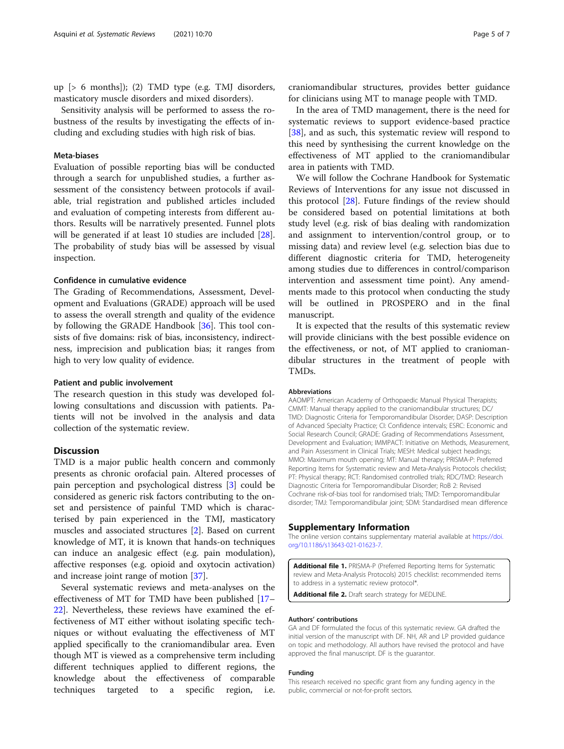<span id="page-5-0"></span>up [> 6 months]); (2) TMD type (e.g. TMJ disorders, masticatory muscle disorders and mixed disorders).

Sensitivity analysis will be performed to assess the robustness of the results by investigating the effects of including and excluding studies with high risk of bias.

#### Meta-biases

Evaluation of possible reporting bias will be conducted through a search for unpublished studies, a further assessment of the consistency between protocols if available, trial registration and published articles included and evaluation of competing interests from different authors. Results will be narratively presented. Funnel plots will be generated if at least 10 studies are included [\[28](#page-6-0)]. The probability of study bias will be assessed by visual inspection.

#### Confidence in cumulative evidence

The Grading of Recommendations, Assessment, Development and Evaluations (GRADE) approach will be used to assess the overall strength and quality of the evidence by following the GRADE Handbook [[36](#page-7-0)]. This tool consists of five domains: risk of bias, inconsistency, indirectness, imprecision and publication bias; it ranges from high to very low quality of evidence.

#### Patient and public involvement

The research question in this study was developed following consultations and discussion with patients. Patients will not be involved in the analysis and data collection of the systematic review.

#### **Discussion**

TMD is a major public health concern and commonly presents as chronic orofacial pain. Altered processes of pain perception and psychological distress [[3\]](#page-6-0) could be considered as generic risk factors contributing to the onset and persistence of painful TMD which is characterised by pain experienced in the TMJ, masticatory muscles and associated structures [[2](#page-6-0)]. Based on current knowledge of MT, it is known that hands-on techniques can induce an analgesic effect (e.g. pain modulation), affective responses (e.g. opioid and oxytocin activation) and increase joint range of motion [\[37](#page-7-0)].

Several systematic reviews and meta-analyses on the effectiveness of MT for TMD have been published [[17](#page-6-0)– [22\]](#page-6-0). Nevertheless, these reviews have examined the effectiveness of MT either without isolating specific techniques or without evaluating the effectiveness of MT applied specifically to the craniomandibular area. Even though MT is viewed as a comprehensive term including different techniques applied to different regions, the knowledge about the effectiveness of comparable techniques targeted to a specific region, i.e.

craniomandibular structures, provides better guidance for clinicians using MT to manage people with TMD.

In the area of TMD management, there is the need for systematic reviews to support evidence-based practice [[38\]](#page-7-0), and as such, this systematic review will respond to this need by synthesising the current knowledge on the effectiveness of MT applied to the craniomandibular area in patients with TMD.

We will follow the Cochrane Handbook for Systematic Reviews of Interventions for any issue not discussed in this protocol [\[28\]](#page-6-0). Future findings of the review should be considered based on potential limitations at both study level (e.g. risk of bias dealing with randomization and assignment to intervention/control group, or to missing data) and review level (e.g. selection bias due to different diagnostic criteria for TMD, heterogeneity among studies due to differences in control/comparison intervention and assessment time point). Any amendments made to this protocol when conducting the study will be outlined in PROSPERO and in the final manuscript.

It is expected that the results of this systematic review will provide clinicians with the best possible evidence on the effectiveness, or not, of MT applied to craniomandibular structures in the treatment of people with TMDs.

#### Abbreviations

AAOMPT: American Academy of Orthopaedic Manual Physical Therapists; CMMT: Manual therapy applied to the craniomandibular structures; DC/ TMD: Diagnostic Criteria for Temporomandibular Disorder; DASP: Description of Advanced Specialty Practice; CI: Confidence intervals; ESRC: Economic and Social Research Council; GRADE: Grading of Recommendations Assessment, Development and Evaluation; IMMPACT: Initiative on Methods, Measurement, and Pain Assessment in Clinical Trials; MESH: Medical subject headings; MMO: Maximum mouth opening; MT: Manual therapy; PRISMA-P: Preferred Reporting Items for Systematic review and Meta-Analysis Protocols checklist; PT: Physical therapy; RCT: Randomised controlled trials; RDC/TMD: Research Diagnostic Criteria for Temporomandibular Disorder; RoB 2: Revised Cochrane risk-of-bias tool for randomised trials; TMD: Temporomandibular disorder; TMJ: Temporomandibular joint; SDM: Standardised mean difference

#### Supplementary Information

The online version contains supplementary material available at [https://doi.](https://doi.org/10.1186/s13643-021-01623-7) [org/10.1186/s13643-021-01623-7.](https://doi.org/10.1186/s13643-021-01623-7)

Additional file 1. PRISMA-P (Preferred Reporting Items for Systematic review and Meta-Analysis Protocols) 2015 checklist: recommended items to address in a systematic review protocol\*

Additional file 2. Draft search strategy for MEDLINE.

#### Authors' contributions

GA and DF formulated the focus of this systematic review. GA drafted the initial version of the manuscript with DF. NH, AR and LP provided guidance on topic and methodology. All authors have revised the protocol and have approved the final manuscript. DF is the guarantor.

#### Funding

This research received no specific grant from any funding agency in the public, commercial or not-for-profit sectors.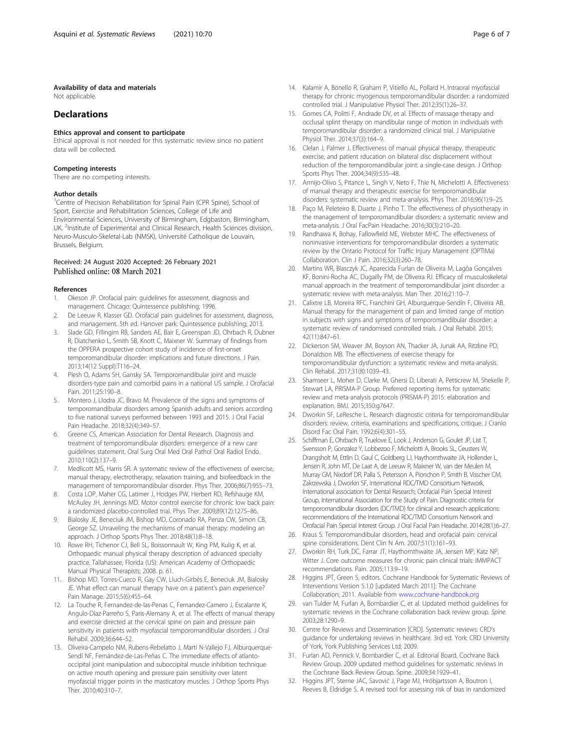#### <span id="page-6-0"></span>Availability of data and materials

Not applicable.

#### **Declarations**

#### Ethics approval and consent to participate

Ethical approval is not needed for this systematic review since no patient data will be collected.

#### Competing interests

There are no competing interests.

#### Author details

<sup>1</sup>Centre of Precision Rehabilitation for Spinal Pain (CPR Spine), School of Sport, Exercise and Rehabilitation Sciences, College of Life and Environmental Sciences, University of Birmingham, Edgbaston, Birmingham, UK. <sup>2</sup>Institute of Experimental and Clinical Research, Health Sciences division, Neuro-Musculo-Skeletal-Lab (NMSK), Université Catholique de Louvain, Brussels, Belgium.

#### Received: 24 August 2020 Accepted: 26 February 2021 Published online: 08 March 2021

#### References

- 1. Okeson JP. Orofacial pain: guidelines for assessment, diagnosis and management. Chicago: Quintessence publishing; 1996.
- 2. De Leeuw R, Klasser GD. Orofacial pain guidelines for assessment, diagnosis, and management. 5th ed. Hanover park: Quintessence publishing; 2013.
- 3. Slade GD, Fillingim RB, Sanders AE, Bair E, Greenspan JD, Ohrbach R, Dubner R, Diatchenko L, Smith SB, Knott C, Maixner W. Summary of findings from the OPPERA prospective cohort study of incidence of first-onset temporomandibular disorder: implications and future directions. J Pain. 2013;14(12 Suppl):T116–24.
- 4. Plesh O, Adams SH, Gansky SA. Temporomandibular joint and muscle disorders-type pain and comorbid pains in a national US sample. J Orofacial Pain. 2011;25:190–8.
- 5. Montero J, Llodra JC, Bravo M. Prevalence of the signs and symptoms of temporomandibular disorders among Spanish adults and seniors according to five national surveys performed between 1993 and 2015. J Oral Facial Pain Headache. 2018;32(4):349–57.
- 6. Greene CS, American Association for Dental Research. Diagnosis and treatment of temporomandibular disorders: emergence of a new care guidelines statement. Oral Surg Oral Med Oral Pathol Oral Radiol Endo. 2010;110(2):137–9.
- 7. Medlicott MS, Harris SR. A systematic review of the effectiveness of exercise, manual therapy, electrotherapy, relaxation training, and biofeedback in the management of temporomandibular disorder. Phys Ther. 2006;86(7):955–73.
- Costa LOP, Maher CG, Latimer J, Hodges PW, Herbert RD, Refshauge KM, McAuley JH, Jennings MD. Motor control exercise for chronic low back pain: a randomized placebo-controlled trial. Phys Ther. 2009;89(12):1275–86.
- 9. Bialosky JE, Beneciuk JM, Bishop MD, Coronado RA, Penza CW, Simon CB, George SZ. Unraveling the mechanisms of manual therapy: modeling an approach. J Orthop Sports Phys Ther. 2018;48(1):8–18.
- 10. Rowe RH, Tichenor CJ, Bell SL, Boissonnault W, King PM, Kulig K, et al. Orthopaedic manual physical therapy description of advanced specialty practice. Tallahassee, Florida (US): American Academy of Orthopaedic Manual Physical Therapists; 2008. p. 61.
- 11. Bishop MD, Torres-Cueco R, Gay CW, Lluch-Girbés E, Beneciuk JM, Bialosky JE. What effect can manual therapy have on a patient's pain experience? Pain Manage. 2015;5(6):455–64.
- 12. La Touche R, Fernandez-de-las-Penas C, Fernandez-Carnero J, Escalante K, Angulo-Díaz-Parreño S, Paris-Alemany A, et al. The effects of manual therapy and exercise directed at the cervical spine on pain and pressure pain sensitivity in patients with myofascial temporomandibular disorders. J Oral Rehabil. 2009;36:644–52.
- 13. Oliveira-Campelo NM, Rubens-Rebelatto J, Martí N-Vallejo FJ, Alburquerque-Sendí NF, Fernández-de-Las-Peñas C. The immediate effects of atlantooccipital joint manipulation and suboccipital muscle inhibition technique on active mouth opening and pressure pain sensitivity over latent myofascial trigger points in the masticatory muscles. J Orthop Sports Phys Ther. 2010;40:310–7.
- 14. Kalamir A, Bonello R, Graham P, Vitiello AL, Pollard H. Intraoral myofascial therapy for chronic myogenous temporomandibular disorder: a randomized controlled trial. J Manipulative Physiol Ther. 2012;35(1):26–37.
- 15. Gomes CA, Politti F, Andrade DV, et al. Effects of massage therapy and occlusal splint therapy on mandibular range of motion in individuals with temporomandibular disorder: a randomized clinical trial. J Manipulative Physiol Ther. 2014;37(3):164–9.
- 16. Clelan J, Palmer J. Effectiveness of manual physical therapy, therapeutic exercise, and patient rducation on bilateral disc displacement without reduction of the temporomandibular joint: a single-case design. J Orthop Sports Phys Ther. 2004;34(9):535–48.
- 17. Armijo-Olivo S, Pitance L, Singh V, Neto F, Thie N, Michelotti A. Effectiveness of manual therapy and therapeutic exercise for temporomandibular disorders: systematic review and meta-analysis. Phys Ther. 2016;96(1):9–25.
- 18. Paço M, Peleteiro B, Duarte J, Pinho T. The effectiveness of physiotherapy in the management of temporomandibular disorders: a systematic review and meta-analysis. J Oral FacPain Headache. 2016;30(3):210–20.
- 19. Randhawa K, Bohay, Fallowfield ME, Webster MHC. The effectiveness of noninvasive interventions for temporomandibular disorders a systematic review by the Ontario Protocol for Traffic Injury Management (OPTIMa) Collaboration. Clin J Pain. 2016;32(3):260–78.
- 20. Martins WR, Blasczyk JC, Aparecida Furlan de Oliveira M, Lagôa Gonçalves KF, Bonini-Rocha AC, Dugailly PM, de Oliveira RJ. Efficacy of musculoskeletal manual approach in the treatment of temporomandibular joint disorder: a systematic review with meta-analysis. Man Ther. 2016;21:10–7.
- 21. Calixtre LB, Moreira RFC, Franchini GH, Alburquerque-Sendín F, Oliveira AB. Manual therapy for the management of pain and limited range of motion in subjects with signs and symptoms of temporomandibular disorder: a systematic review of randomised controlled trials. J Oral Rehabil. 2015; 42(11):847–61.
- 22. Dickerson SM, Weaver JM, Boyson AN, Thacker JA, Junak AA, Ritzline PD, Donaldson MB. The effectiveness of exercise therapy for temporomandibular dysfunction: a systematic review and meta-analysis. Clin Rehabil. 2017;31(8):1039–43.
- 23. Shamseer L, Moher D, Clarke M, Ghersi D, Liberati A, Petticrew M, Shekelle P, Stewart LA, PRISMA-P Group. Preferred reporting items for systematic review and meta-analysis protocols (PRISMA-P) 2015: elaboration and explanation. BMJ. 2015;350:g7647.
- 24. Dworkin SF, LeResche L. Research diagnostic criteria for temporomandibular disorders: review, criteria, examinations and specifications, critique. J Cranio Disord Fac Oral Pain. 1992;6(4):301–55.
- 25. Schiffman E, Ohrbach R, Truelove E, Look J, Anderson G, Goulet JP, List T, Svensson P, Gonzalez Y, Lobbezoo F, Michelotti A, Brooks SL, Ceusters W, Drangsholt M, Ettlin D, Gaul C, Goldberg LJ, Haythornthwaite JA, Hollender L, Jensen R, John MT, De Laat A, de Leeuw R, Maixner W, van der Meulen M, Murray GM, Nixdorf DR, Palla S, Petersson A, Pionchon P, Smith B, Visscher CM, Zakrzewska J, Dworkin SF, International RDC/TMD Consortium Network, International association for Dental Research; Orofacial Pain Special Interest Group, International Association for the Study of Pain. Diagnostic criteria for temporomandibular disorders (DC/TMD) for clinical and research applications: recommendations of the International RDC/TMD Consortium Network and Orofacial Pain Special Interest Group. J Oral Facial Pain Headache. 2014;28(1):6–27.
- 26. Kraus S. Temporomandibular disorders, head and orofacial pain: cervical spine considerations. Dent Clin N Am. 2007;51(1):161–93.
- 27. Dworkin RH, Turk DC, Farrar JT, Haythornthwaite JA, Jensen MP, Katz NP, Witter J. Core outcome measures for chronic pain clinical trials: IMMPACT recommendations. Pain. 2005;113:9–19.
- 28. Higgins JPT, Green S, editors. Cochrane Handbook for Systematic Reviews of Interventions Version 5.1.0 [updated March 2011]: The Cochrane Collaboration; 2011. Available from [www.cochrane-handbook.org](http://www.cochrane-handbook.org)
- 29. van Tulder M, Furlan A, Bombardier C, et al. Updated method guidelines for systematic reviews in the Cochrane collaboration back review group. Spine. 2003;28:1290–9.
- 30. Centre for Reviews and Dissemination [CRD]. Systematic reviews: CRD's guidance for undertaking reviews in healthcare. 3rd ed. York: CRD University of York, York Publishing Services Ltd; 2009.
- 31. Furlan AD, Pennick V, Bombardier C, et al. Editorial Board, Cochrane Back Review Group. 2009 updated method guidelines for systematic reviews in the Cochrane Back Review Group. Spine. 2009;34:1929–41.
- 32. Higgins JPT, Sterne JAC, Savović J, Page MJ, Hróbjartsson A, Boutron I, Reeves B, Eldridge S. A revised tool for assessing risk of bias in randomized